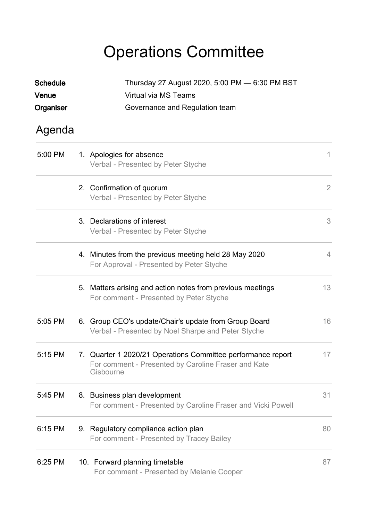## Operations Committee

| <b>Schedule</b> | Thursday 27 August 2020, 5:00 PM - 6:30 PM BST                                                                                   |                |  |
|-----------------|----------------------------------------------------------------------------------------------------------------------------------|----------------|--|
| Venue           | Virtual via MS Teams                                                                                                             |                |  |
| Organiser       | Governance and Regulation team                                                                                                   |                |  |
| Agenda          |                                                                                                                                  |                |  |
| 5:00 PM         | 1. Apologies for absence<br>Verbal - Presented by Peter Styche                                                                   | 1              |  |
|                 | 2. Confirmation of quorum<br>Verbal - Presented by Peter Styche                                                                  | $\overline{2}$ |  |
|                 | 3. Declarations of interest<br>Verbal - Presented by Peter Styche                                                                | 3              |  |
|                 | 4. Minutes from the previous meeting held 28 May 2020<br>For Approval - Presented by Peter Styche                                | 4              |  |
|                 | 5. Matters arising and action notes from previous meetings<br>For comment - Presented by Peter Styche                            | 13             |  |
| 5:05 PM         | 6. Group CEO's update/Chair's update from Group Board<br>Verbal - Presented by Noel Sharpe and Peter Styche                      | 16             |  |
| 5:15 PM         | 7. Quarter 1 2020/21 Operations Committee performance report<br>For comment - Presented by Caroline Fraser and Kate<br>Gisbourne | 17             |  |
| 5:45 PM         | 8. Business plan development<br>For comment - Presented by Caroline Fraser and Vicki Powell                                      | 31             |  |
| 6:15 PM         | 9. Regulatory compliance action plan<br>For comment - Presented by Tracey Bailey                                                 | 80             |  |
| 6:25 PM         | 10. Forward planning timetable<br>For comment - Presented by Melanie Cooper                                                      | 87             |  |